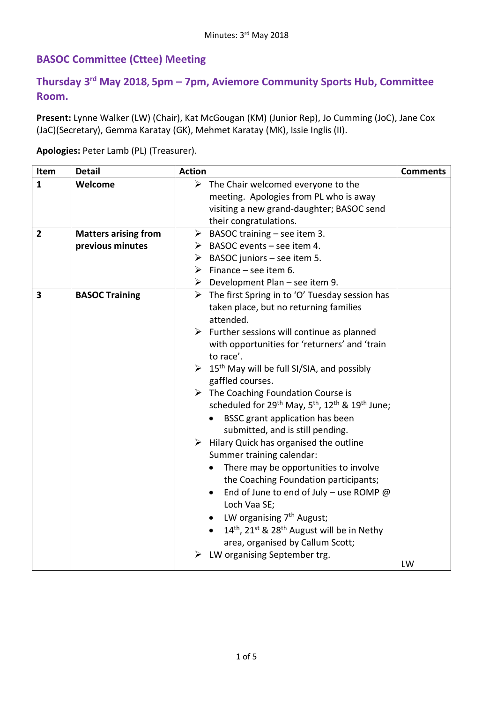## **BASOC Committee (Cttee) Meeting**

## **Thursday 3 rd May 2018, 5pm – 7pm, Aviemore Community Sports Hub, Committee Room.**

**Present:** Lynne Walker (LW) (Chair), Kat McGougan (KM) (Junior Rep), Jo Cumming (JoC), Jane Cox (JaC)(Secretary), Gemma Karatay (GK), Mehmet Karatay (MK), Issie Inglis (II).

**Apologies:** Peter Lamb (PL) (Treasurer).

| Item                    | <b>Detail</b>               | <b>Action</b>                                                                                   | <b>Comments</b> |
|-------------------------|-----------------------------|-------------------------------------------------------------------------------------------------|-----------------|
| $\mathbf{1}$            | Welcome                     | $\triangleright$ The Chair welcomed everyone to the                                             |                 |
|                         |                             | meeting. Apologies from PL who is away                                                          |                 |
|                         |                             | visiting a new grand-daughter; BASOC send                                                       |                 |
|                         |                             | their congratulations.                                                                          |                 |
| $\overline{2}$          | <b>Matters arising from</b> | $\triangleright$ BASOC training – see item 3.                                                   |                 |
|                         | previous minutes            | $\triangleright$ BASOC events – see item 4.                                                     |                 |
|                         |                             | $\triangleright$ BASOC juniors – see item 5.                                                    |                 |
|                         |                             | $\triangleright$ Finance – see item 6.                                                          |                 |
|                         |                             | $\triangleright$ Development Plan – see item 9.                                                 |                 |
| $\overline{\mathbf{3}}$ | <b>BASOC Training</b>       | $\triangleright$ The first Spring in to 'O' Tuesday session has                                 |                 |
|                         |                             | taken place, but no returning families                                                          |                 |
|                         |                             | attended.                                                                                       |                 |
|                         |                             | $\triangleright$ Further sessions will continue as planned                                      |                 |
|                         |                             | with opportunities for 'returners' and 'train                                                   |                 |
|                         |                             | to race'.                                                                                       |                 |
|                         |                             | $\geq 15^{\text{th}}$ May will be full SI/SIA, and possibly                                     |                 |
|                         |                             | gaffled courses.                                                                                |                 |
|                         |                             | $\triangleright$ The Coaching Foundation Course is                                              |                 |
|                         |                             | scheduled for 29 <sup>th</sup> May, 5 <sup>th</sup> , 12 <sup>th</sup> & 19 <sup>th</sup> June; |                 |
|                         |                             | BSSC grant application has been                                                                 |                 |
|                         |                             | submitted, and is still pending.                                                                |                 |
|                         |                             | $\triangleright$ Hilary Quick has organised the outline                                         |                 |
|                         |                             | Summer training calendar:                                                                       |                 |
|                         |                             | There may be opportunities to involve                                                           |                 |
|                         |                             | the Coaching Foundation participants;                                                           |                 |
|                         |                             | End of June to end of July - use ROMP $@$<br>$\bullet$                                          |                 |
|                         |                             | Loch Vaa SE;                                                                                    |                 |
|                         |                             | LW organising 7 <sup>th</sup> August;                                                           |                 |
|                         |                             | 14th, 21st & 28th August will be in Nethy                                                       |                 |
|                         |                             | area, organised by Callum Scott;                                                                |                 |
|                         |                             | LW organising September trg.                                                                    |                 |
|                         |                             |                                                                                                 | LW              |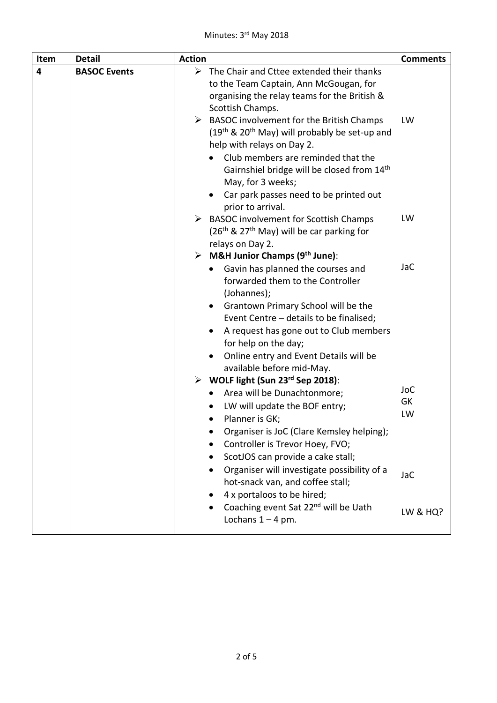| Item | <b>Detail</b>       | <b>Action</b>                                                                                                                                                                                                                                                                                                                  | <b>Comments</b>                   |
|------|---------------------|--------------------------------------------------------------------------------------------------------------------------------------------------------------------------------------------------------------------------------------------------------------------------------------------------------------------------------|-----------------------------------|
| 4    | <b>BASOC Events</b> | $\blacktriangleright$<br>The Chair and Cttee extended their thanks<br>to the Team Captain, Ann McGougan, for<br>organising the relay teams for the British &<br>Scottish Champs.                                                                                                                                               |                                   |
|      |                     | $\triangleright$ BASOC involvement for the British Champs<br>$(19th$ & 20 <sup>th</sup> May) will probably be set-up and<br>help with relays on Day 2.<br>Club members are reminded that the<br>Gairnshiel bridge will be closed from 14th<br>May, for 3 weeks;<br>Car park passes need to be printed out<br>prior to arrival. | LW                                |
|      |                     | $\triangleright$ BASOC involvement for Scottish Champs<br>$(26th$ & 27 <sup>th</sup> May) will be car parking for<br>relays on Day 2.<br>> M&H Junior Champs ( $9th$ June):                                                                                                                                                    | LW                                |
|      |                     | Gavin has planned the courses and<br>$\bullet$<br>forwarded them to the Controller<br>(Johannes);<br>Grantown Primary School will be the<br>Event Centre - details to be finalised;<br>A request has gone out to Club members<br>for help on the day;<br>Online entry and Event Details will be<br>available before mid-May.   | <b>JaC</b>                        |
|      |                     | $\triangleright$ WOLF light (Sun 23rd Sep 2018):<br>Area will be Dunachtonmore;<br>LW will update the BOF entry;<br>Planner is GK;<br>Organiser is JoC (Clare Kemsley helping);<br>Controller is Trevor Hoey, FVO;<br>ScotJOS can provide a cake stall;                                                                        | <b>JoC</b><br>GK<br>LW            |
|      |                     | Organiser will investigate possibility of a<br>hot-snack van, and coffee stall;<br>4 x portaloos to be hired;<br>Coaching event Sat 22 <sup>nd</sup> will be Uath<br>Lochans $1 - 4$ pm.                                                                                                                                       | <b>JaC</b><br><b>LW &amp; HQ?</b> |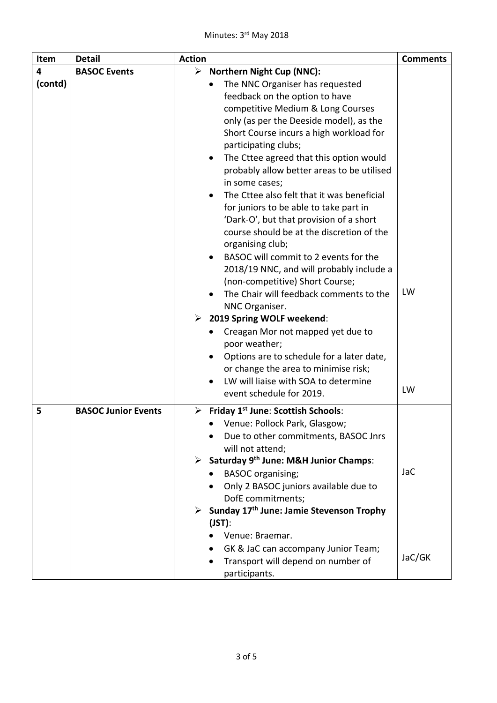| Item         | <b>Detail</b>              | <b>Action</b>                                                                                                                                                                                                                                                                                                                                                                                                                                                                                                                                                                                                                                                                                                                                                                                                                                                                                                                                                           | <b>Comments</b> |
|--------------|----------------------------|-------------------------------------------------------------------------------------------------------------------------------------------------------------------------------------------------------------------------------------------------------------------------------------------------------------------------------------------------------------------------------------------------------------------------------------------------------------------------------------------------------------------------------------------------------------------------------------------------------------------------------------------------------------------------------------------------------------------------------------------------------------------------------------------------------------------------------------------------------------------------------------------------------------------------------------------------------------------------|-----------------|
| 4<br>(contd) | <b>BASOC Events</b>        | ➤<br><b>Northern Night Cup (NNC):</b><br>The NNC Organiser has requested<br>feedback on the option to have<br>competitive Medium & Long Courses<br>only (as per the Deeside model), as the<br>Short Course incurs a high workload for<br>participating clubs;<br>The Cttee agreed that this option would<br>$\bullet$<br>probably allow better areas to be utilised<br>in some cases;<br>The Cttee also felt that it was beneficial<br>for juniors to be able to take part in<br>'Dark-O', but that provision of a short<br>course should be at the discretion of the<br>organising club;<br>BASOC will commit to 2 events for the<br>2018/19 NNC, and will probably include a<br>(non-competitive) Short Course;<br>The Chair will feedback comments to the<br>NNC Organiser.<br>$\triangleright$ 2019 Spring WOLF weekend:<br>Creagan Mor not mapped yet due to<br>poor weather;<br>Options are to schedule for a later date,<br>or change the area to minimise risk; | LW              |
|              |                            | LW will liaise with SOA to determine<br>event schedule for 2019.                                                                                                                                                                                                                                                                                                                                                                                                                                                                                                                                                                                                                                                                                                                                                                                                                                                                                                        | LW              |
| 5            | <b>BASOC Junior Events</b> | $\triangleright$ Friday 1 <sup>st</sup> June: Scottish Schools:<br>• Venue: Pollock Park, Glasgow;<br>Due to other commitments, BASOC Jnrs<br>will not attend;<br>> Saturday 9th June: M&H Junior Champs:<br><b>BASOC</b> organising;<br>Only 2 BASOC juniors available due to<br>DofE commitments;<br>$\triangleright$ Sunday 17 <sup>th</sup> June: Jamie Stevenson Trophy<br>$(JST)$ :<br>Venue: Braemar.<br>GK & JaC can accompany Junior Team;                                                                                                                                                                                                                                                                                                                                                                                                                                                                                                                     | <b>JaC</b>      |
|              |                            | Transport will depend on number of<br>participants.                                                                                                                                                                                                                                                                                                                                                                                                                                                                                                                                                                                                                                                                                                                                                                                                                                                                                                                     | JaC/GK          |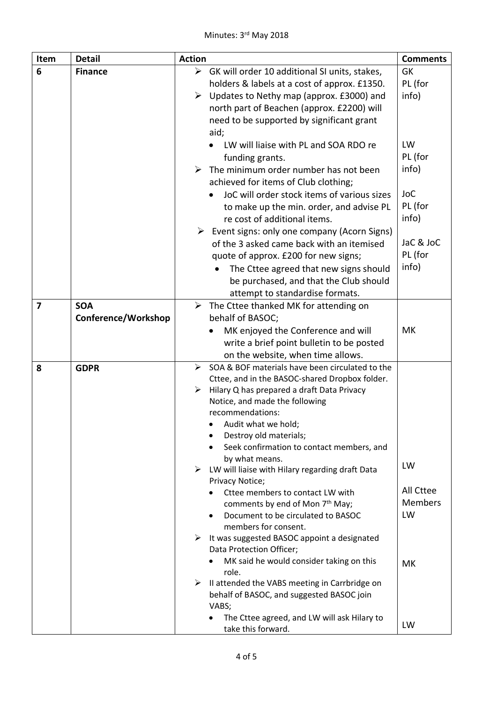| Item                    | <b>Detail</b>       | <b>Action</b>         |                                                                                               | <b>Comments</b>             |
|-------------------------|---------------------|-----------------------|-----------------------------------------------------------------------------------------------|-----------------------------|
| 6                       | <b>Finance</b>      | $\blacktriangleright$ | GK will order 10 additional SI units, stakes,                                                 | <b>GK</b>                   |
|                         |                     |                       | holders & labels at a cost of approx. £1350.                                                  | PL (for                     |
|                         |                     |                       | $\triangleright$ Updates to Nethy map (approx. £3000) and                                     | info)                       |
|                         |                     |                       | north part of Beachen (approx. £2200) will                                                    |                             |
|                         |                     |                       | need to be supported by significant grant                                                     |                             |
|                         |                     |                       | aid;                                                                                          |                             |
|                         |                     |                       | LW will liaise with PL and SOA RDO re                                                         | LW                          |
|                         |                     |                       | funding grants.                                                                               | PL (for                     |
|                         |                     |                       | $\triangleright$ The minimum order number has not been                                        | info)                       |
|                         |                     |                       | achieved for items of Club clothing;                                                          |                             |
|                         |                     |                       | JoC will order stock items of various sizes                                                   | <b>JoC</b>                  |
|                         |                     |                       | to make up the min. order, and advise PL                                                      | PL (for                     |
|                         |                     |                       | re cost of additional items.                                                                  | info)                       |
|                         |                     |                       | $\triangleright$ Event signs: only one company (Acorn Signs)                                  |                             |
|                         |                     |                       | of the 3 asked came back with an itemised                                                     | JaC & JoC                   |
|                         |                     |                       | quote of approx. £200 for new signs;                                                          | PL (for                     |
|                         |                     |                       | The Cttee agreed that new signs should                                                        | info)                       |
|                         |                     |                       | be purchased, and that the Club should                                                        |                             |
|                         |                     |                       | attempt to standardise formats.                                                               |                             |
| $\overline{\mathbf{z}}$ | <b>SOA</b>          |                       | $\triangleright$ The Cttee thanked MK for attending on                                        |                             |
|                         | Conference/Workshop |                       | behalf of BASOC;                                                                              |                             |
|                         |                     |                       | MK enjoyed the Conference and will                                                            | МK                          |
|                         |                     |                       | write a brief point bulletin to be posted                                                     |                             |
|                         |                     |                       | on the website, when time allows.                                                             |                             |
| 8                       | <b>GDPR</b>         | ➤                     | SOA & BOF materials have been circulated to the                                               |                             |
|                         |                     |                       | Cttee, and in the BASOC-shared Dropbox folder.                                                |                             |
|                         |                     |                       | $\triangleright$ Hilary Q has prepared a draft Data Privacy<br>Notice, and made the following |                             |
|                         |                     |                       | recommendations:                                                                              |                             |
|                         |                     |                       | Audit what we hold;                                                                           |                             |
|                         |                     |                       | Destroy old materials;                                                                        |                             |
|                         |                     |                       | Seek confirmation to contact members, and                                                     |                             |
|                         |                     |                       | by what means.                                                                                |                             |
|                         |                     |                       | $\triangleright$ LW will liaise with Hilary regarding draft Data                              | LW                          |
|                         |                     |                       | Privacy Notice;                                                                               |                             |
|                         |                     |                       | Cttee members to contact LW with                                                              | All Cttee<br><b>Members</b> |
|                         |                     |                       | comments by end of Mon 7 <sup>th</sup> May;                                                   | LW                          |
|                         |                     |                       | Document to be circulated to BASOC<br>members for consent.                                    |                             |
|                         |                     |                       | $\triangleright$ It was suggested BASOC appoint a designated                                  |                             |
|                         |                     |                       | Data Protection Officer;                                                                      |                             |
|                         |                     |                       | MK said he would consider taking on this                                                      | MK                          |
|                         |                     |                       | role.                                                                                         |                             |
|                         |                     | ➤                     | II attended the VABS meeting in Carrbridge on                                                 |                             |
|                         |                     |                       | behalf of BASOC, and suggested BASOC join                                                     |                             |
|                         |                     |                       | VABS;                                                                                         |                             |
|                         |                     |                       | The Cttee agreed, and LW will ask Hilary to                                                   | LW                          |
|                         |                     |                       | take this forward.                                                                            |                             |